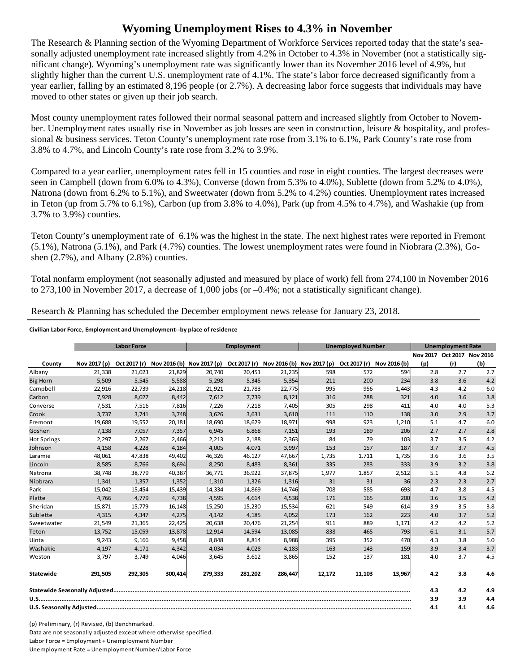## **Wyoming Unemployment Rises to 4.3% in November**

The Research & Planning section of the Wyoming Department of Workforce Services reported today that the state's seasonally adjusted unemployment rate increased slightly from 4.2% in October to 4.3% in November (not a statistically significant change). Wyoming's unemployment rate was significantly lower than its November 2016 level of 4.9%, but slightly higher than the current U.S. unemployment rate of 4.1%. The state's labor force decreased significantly from a year earlier, falling by an estimated 8,196 people (or 2.7%). A decreasing labor force suggests that individuals may have moved to other states or given up their job search.

Most county unemployment rates followed their normal seasonal pattern and increased slightly from October to November. Unemployment rates usually rise in November as job losses are seen in construction, leisure & hospitality, and professional & business services. Teton County's unemployment rate rose from 3.1% to 6.1%, Park County's rate rose from 3.8% to 4.7%, and Lincoln County's rate rose from 3.2% to 3.9%.

Compared to a year earlier, unemployment rates fell in 15 counties and rose in eight counties. The largest decreases were seen in Campbell (down from 6.0% to 4.3%), Converse (down from 5.3% to 4.0%), Sublette (down from 5.2% to 4.0%), Natrona (down from 6.2% to 5.1%), and Sweetwater (down from 5.2% to 4.2%) counties. Unemployment rates increased in Teton (up from 5.7% to 6.1%), Carbon (up from 3.8% to 4.0%), Park (up from 4.5% to 4.7%), and Washakie (up from 3.7% to 3.9%) counties.

Teton County's unemployment rate of 6.1% was the highest in the state. The next highest rates were reported in Fremont (5.1%), Natrona (5.1%), and Park (4.7%) counties. The lowest unemployment rates were found in Niobrara (2.3%), Goshen  $(2.7\%)$ , and Albany  $(2.8\%)$  counties.

Total nonfarm employment (not seasonally adjusted and measured by place of work) fell from 274,100 in November 2016 to 273,100 in November 2017, a decrease of 1,000 jobs (or –0.4%; not a statistically significant change).

Research & Planning has scheduled the December employment news release for January 23, 2018.

## **Civilian Labor Force, Employment and Unemployment‐‐by place of residence**

|                    | <b>Labor Force</b> |              |         | Employment                |         |                                        | <b>Unemployed Number</b> |              |              | <b>Unemployment Rate</b> |                            |     |
|--------------------|--------------------|--------------|---------|---------------------------|---------|----------------------------------------|--------------------------|--------------|--------------|--------------------------|----------------------------|-----|
|                    |                    |              |         |                           |         |                                        |                          |              |              |                          | Nov 2017 Oct 2017 Nov 2016 |     |
| County             | Nov 2017 (p)       | Oct 2017 (r) |         | Nov 2016 (b) Nov 2017 (p) |         | Oct 2017 (r) Nov 2016 (b) Nov 2017 (p) |                          | Oct 2017 (r) | Nov 2016 (b) | (p)                      | (r)                        | (b) |
| Albany             | 21,338             | 21,023       | 21,829  | 20,740                    | 20,451  | 21,235                                 | 598                      | 572          | 594          | 2.8                      | 2.7                        | 2.7 |
| <b>Big Horn</b>    | 5,509              | 5,545        | 5,588   | 5,298                     | 5,345   | 5,354                                  | 211                      | 200          | 234          | 3.8                      | 3.6                        | 4.2 |
| Campbell           | 22,916             | 22,739       | 24,218  | 21,921                    | 21,783  | 22,775                                 | 995                      | 956          | 1,443        | 4.3                      | 4.2                        | 6.0 |
| Carbon             | 7,928              | 8,027        | 8,442   | 7,612                     | 7,739   | 8,121                                  | 316                      | 288          | 321          | 4.0                      | 3.6                        | 3.8 |
| Converse           | 7,531              | 7,516        | 7,816   | 7,226                     | 7,218   | 7,405                                  | 305                      | 298          | 411          | 4.0                      | 4.0                        | 5.3 |
| Crook              | 3,737              | 3,741        | 3,748   | 3,626                     | 3,631   | 3,610                                  | 111                      | 110          | 138          | 3.0                      | 2.9                        | 3.7 |
| Fremont            | 19,688             | 19,552       | 20,181  | 18,690                    | 18,629  | 18,971                                 | 998                      | 923          | 1,210        | 5.1                      | 4.7                        | 6.0 |
| Goshen             | 7,138              | 7,057        | 7,357   | 6,945                     | 6,868   | 7,151                                  | 193                      | 189          | 206          | 2.7                      | 2.7                        | 2.8 |
| <b>Hot Springs</b> | 2,297              | 2,267        | 2,466   | 2,213                     | 2,188   | 2,363                                  | 84                       | 79           | 103          | 3.7                      | 3.5                        | 4.2 |
| Johnson            | 4,158              | 4,228        | 4,184   | 4,005                     | 4,071   | 3,997                                  | 153                      | 157          | 187          | 3.7                      | 3.7                        | 4.5 |
| Laramie            | 48,061             | 47,838       | 49,402  | 46,326                    | 46,127  | 47,667                                 | 1,735                    | 1,711        | 1,735        | 3.6                      | 3.6                        | 3.5 |
| Lincoln            | 8,585              | 8,766        | 8,694   | 8,250                     | 8,483   | 8,361                                  | 335                      | 283          | 333          | 3.9                      | 3.2                        | 3.8 |
| Natrona            | 38,748             | 38,779       | 40,387  | 36,771                    | 36,922  | 37,875                                 | 1,977                    | 1,857        | 2,512        | 5.1                      | 4.8                        | 6.2 |
| Niobrara           | 1,341              | 1,357        | 1,352   | 1,310                     | 1,326   | 1,316                                  | 31                       | 31           | 36           | 2.3                      | 2.3                        | 2.7 |
| Park               | 15,042             | 15,454       | 15,439  | 14,334                    | 14,869  | 14,746                                 | 708                      | 585          | 693          | 4.7                      | 3.8                        | 4.5 |
| Platte             | 4,766              | 4,779        | 4,738   | 4,595                     | 4,614   | 4,538                                  | 171                      | 165          | 200          | 3.6                      | 3.5                        | 4.2 |
| Sheridan           | 15,871             | 15,779       | 16,148  | 15,250                    | 15,230  | 15,534                                 | 621                      | 549          | 614          | 3.9                      | 3.5                        | 3.8 |
| Sublette           | 4,315              | 4,347        | 4,275   | 4,142                     | 4,185   | 4,052                                  | 173                      | 162          | 223          | 4.0                      | 3.7                        | 5.2 |
| Sweetwater         | 21,549             | 21,365       | 22,425  | 20,638                    | 20,476  | 21,254                                 | 911                      | 889          | 1,171        | 4.2                      | 4.2                        | 5.2 |
| Teton              | 13,752             | 15,059       | 13,878  | 12,914                    | 14,594  | 13,085                                 | 838                      | 465          | 793          | 6.1                      | 3.1                        | 5.7 |
| Uinta              | 9,243              | 9,166        | 9,458   | 8,848                     | 8,814   | 8,988                                  | 395                      | 352          | 470          | 4.3                      | 3.8                        | 5.0 |
| Washakie           | 4.197              | 4,171        | 4,342   | 4,034                     | 4,028   | 4,183                                  | 163                      | 143          | 159          | 3.9                      | 3.4                        | 3.7 |
| Weston             | 3,797              | 3,749        | 4,046   | 3,645                     | 3,612   | 3,865                                  | 152                      | 137          | 181          | 4.0                      | 3.7                        | 4.5 |
| Statewide          | 291,505            | 292,305      | 300,414 | 279,333                   | 281,202 | 286,447                                | 12,172                   | 11,103       | 13,967       | 4.2                      | 3.8                        | 4.6 |
|                    |                    |              |         |                           |         |                                        |                          | 4.3          | 4.2          | 4.9                      |                            |     |
|                    |                    |              |         |                           |         |                                        |                          | 3.9          | 3.9          | 4.4                      |                            |     |
|                    |                    |              |         |                           |         |                                        |                          | 4.1          | 4.1          | 4.6                      |                            |     |

(p) Preliminary, (r) Revised, (b) Benchmarked. Data are not seasonally adjusted except where otherwise specified. Labor Force = Employment + Unemployment Number Unemployment Rate = Unemployment Number/Labor Force